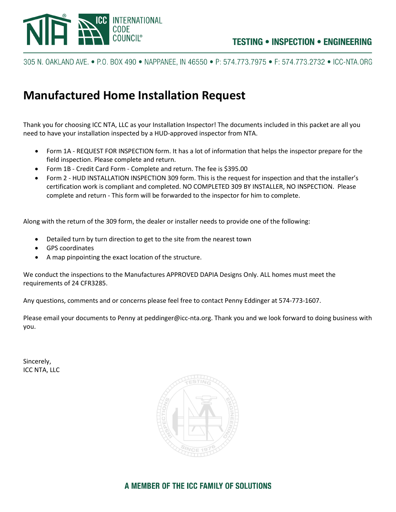

305 N. OAKLAND AVE. ● P.O. BOX 490 ● NAPPANEE. IN 46550 ● P: 574.773.7975 ● F: 574.773.2732 ● ICC-NTA.ORG

# **Manufactured Home Installation Request**

Thank you for choosing ICC NTA, LLC as your Installation Inspector! The documents included in this packet are all you need to have your installation inspected by a HUD-approved inspector from NTA.

- Form 1A REQUEST FOR INSPECTION form. It has a lot of information that helps the inspector prepare for the field inspection. Please complete and return.
- Form 1B Credit Card Form Complete and return. The fee is \$395.00
- Form 2 HUD INSTALLATION INSPECTION 309 form. This is the request for inspection and that the installer's certification work is compliant and completed. NO COMPLETED 309 BY INSTALLER, NO INSPECTION. Please complete and return - This form will be forwarded to the inspector for him to complete.

Along with the return of the 309 form, the dealer or installer needs to provide one of the following:

- Detailed turn by turn direction to get to the site from the nearest town
- GPS coordinates
- A map pinpointing the exact location of the structure.

We conduct the inspections to the Manufactures APPROVED DAPIA Designs Only. ALL homes must meet the requirements of 24 CFR3285.

Any questions, comments and or concerns please feel free to contact Penny Eddinger at 574-773-1607.

Please email your documents to Penny at peddinger@icc-nta.org. Thank you and we look forward to doing business with you.

Sincerely, ICC NTA, LLC



## A MEMBER OF THE ICC FAMILY OF SOLUTIONS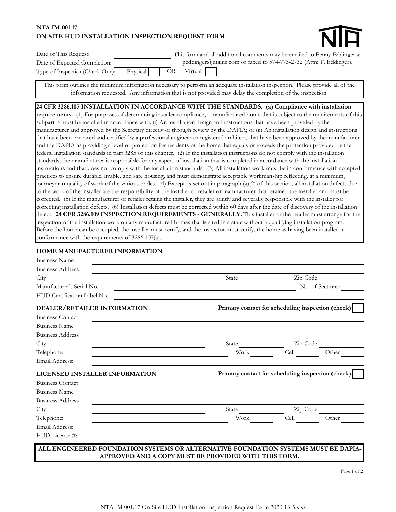## **ON-SITE HUD INSTALLATION INSPECTION REQUEST FORM NTA IM-001.17**



| Date of This Request:                                |  | This form and all additional comments may be emailed to Penny Eddinger at |
|------------------------------------------------------|--|---------------------------------------------------------------------------|
| Date of Expected Completion:                         |  | peddinger@ntainc.com or faxed to 574-773-2732 (Attn: P. Eddinger).        |
| Type of Inspection(Check One): Physical: OR Virtual: |  |                                                                           |

This form outlines the minimum information necessary to perform an adequate installation inspection. Please provide all of the information requested. Any information that is not provided may delay the completion of the inspection.

## **24 CFR 3286.107 INSTALLATION IN ACCORDANCE WITH THE STANDARDS. (a) Compliance with installation**

**requirements.** (1) For purposes of determining installer compliance, a manufactured home that is subject to the requirements of this subpart B must be installed in accordance with: (i) An installation design and instructions that have been provided by the manufacturer and approved by the Secretary directly or through review by the DAPIA; or (ii) An installation design and instructions that have been prepared and certified by a professional engineer or registered architect, that have been approved by the manufacturer and the DAPIA as providing a level of protection for residents of the home that equals or exceeds the protection provided by the federal installation standards in part 3285 of this chapter. (2) If the installation instructions do not comply with the installation standards, the manufacturer is responsible for any aspect of installation that is completed in accordance with the installation instructions and that does not comply with the installation standards. (3) All installation work must be in conformance with accepted practices to ensure durable, livable, and safe housing, and must demonstrate acceptable workmanship reflecting, at a minimum, journeyman quality of work of the various trades. (4) Except as set out in paragraph (a)(2) of this section, all installation defects due to the work of the installer are the responsibility of the installer or retailer or manufacturer that retained the installer and must be corrected. (5) If the manufacturer or retailer retains the installer, they are jointly and severally responsible with the installer for correcting installation defects. (6) Installation defects must be corrected within 60 days after the date of discovery of the installation defect. **24 CFR 3286.109 INSPECTION REQUIREMENTS - GENERALLY.** This installer or the retailer must arrange for the inspection of the installation work on any manufactured homes that is sited in a state without a qualifying installation program. Before the home can be occupied, the installer must certify, and the inspector must verify, the home as having been installed in conformance with the requirements of 3286.107(a).

## **HOME MANUFACTURER INFORMATION**

| <b>Business Name</b>                                                               |                                                   |          |                  |
|------------------------------------------------------------------------------------|---------------------------------------------------|----------|------------------|
| <b>Business Address</b>                                                            |                                                   |          |                  |
| City                                                                               | State                                             | Zip Code |                  |
| Manufacturer's Serial No.                                                          |                                                   |          | No. of Sections: |
| HUD Certification Label No.                                                        |                                                   |          |                  |
| DEALER/RETAILER INFORMATION                                                        | Primary contact for scheduling inspection (check) |          |                  |
| <b>Business Contact:</b>                                                           |                                                   |          |                  |
| <b>Business Name</b>                                                               |                                                   |          |                  |
| <b>Business Address</b>                                                            |                                                   |          |                  |
| City                                                                               | State                                             | Zip Code |                  |
| Telephone:                                                                         | Work                                              | Cell     | Other            |
| Email Address:                                                                     |                                                   |          |                  |
| <b>LICENSED INSTALLER INFORMATION</b>                                              | Primary contact for scheduling inspection (check) |          |                  |
| <b>Business Contact:</b>                                                           |                                                   |          |                  |
| <b>Business Name</b>                                                               |                                                   |          |                  |
| <b>Business Address</b>                                                            |                                                   |          |                  |
| City                                                                               | State                                             | Zip Code |                  |
| Telephone:                                                                         | Work                                              | Cell     | Other            |
| Email Address:                                                                     |                                                   |          |                  |
| HUD License #:                                                                     |                                                   |          |                  |
| ALL ENGINEERED FOUNDATION SYSTEMS OR ALTERNATIVE FOUNDATION SYSTEMS MUST BE DAPIA- |                                                   |          |                  |
| APPROVED AND A COPY MUST BE PROVIDED WITH THIS FORM.                               |                                                   |          |                  |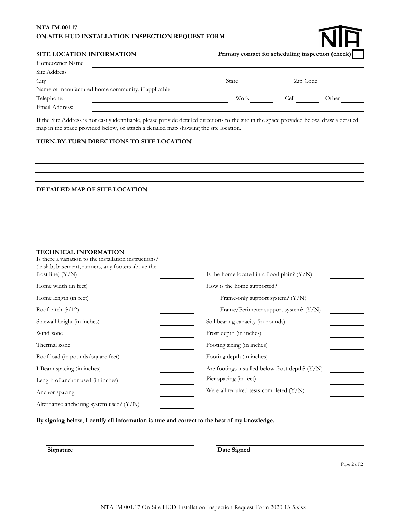## **NTA IM-001.17 ON-SITE HUD INSTALLATION INSPECTION REQUEST FORM**



#### **SITE LOCATION INFORMATION**

**Primary contact for scheduling inspection (check)**

| Homeowner Name                                     |              |          |       |
|----------------------------------------------------|--------------|----------|-------|
| Site Address                                       |              |          |       |
| City                                               | <b>State</b> | Zip Code |       |
| Name of manufactured home community, if applicable |              |          |       |
| Telephone:                                         | Work         | Cell     | Other |
| Email Address:                                     |              |          |       |

If the Site Address is not easily identifiable, please provide detailed directions to the site in the space provided below, draw a detailed map in the space provided below, or attach a detailed map showing the site location.

#### **TURN-BY-TURN DIRECTIONS TO SITE LOCATION**

## **DETAILED MAP OF SITE LOCATION**

#### **TECHNICAL INFORMATION**

| Is there a variation to the installation instructions?<br>(ie slab, basement, runners, any footers above the<br>frost line) $(Y/N)$ | Is the home located in a flood plain? $(Y/N)$     |  |
|-------------------------------------------------------------------------------------------------------------------------------------|---------------------------------------------------|--|
| Home width (in feet)                                                                                                                | How is the home supported?                        |  |
| Home length (in feet)                                                                                                               | Frame-only support system? (Y/N)                  |  |
| Roof pitch $(?)/12)$                                                                                                                | Frame/Perimeter support system? $(Y/N)$           |  |
| Sidewall height (in inches)                                                                                                         | Soil bearing capacity (in pounds)                 |  |
| Wind zone                                                                                                                           | Frost depth (in inches)                           |  |
| Thermal zone                                                                                                                        | Footing sizing (in inches)                        |  |
| Roof load (in pounds/square feet)                                                                                                   | Footing depth (in inches)                         |  |
| I-Beam spacing (in inches)                                                                                                          | Are footings installed below frost depth? $(Y/N)$ |  |
| Length of anchor used (in inches)                                                                                                   | Pier spacing (in feet)                            |  |
| Anchor spacing                                                                                                                      | Were all required tests completed $(Y/N)$         |  |
| Alternative anchoring system used? $(Y/N)$                                                                                          |                                                   |  |

**By signing below, I certify all information is true and correct to the best of my knowledge.**

**Signature** Date Signed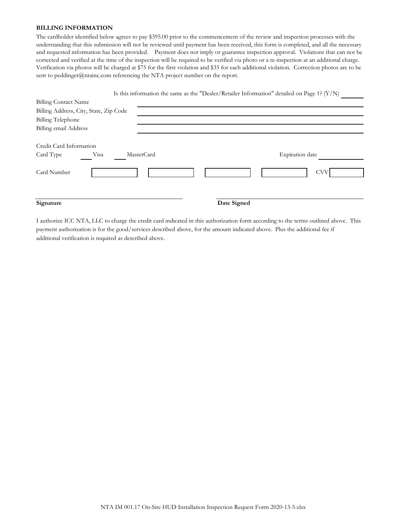### **BILLING INFORMATION**

The cardholder identified below agrees to pay \$395.00 prior to the commencement of the review and inspection processes with the understanding that this submission will not be reviewed until payment has been received, this form is completed, and all the necessary and requested information has been provided. Payment does not imply or guarantee inspection approval. Violations that can not be corrected and verified at the time of the inspection will be required to be verified via photo or a re-inspection at an additional charge. Verification via photos will be charged at \$75 for the first violation and \$35 for each additional violation. Correction photos are to be sent to peddinger@ntainc.com referencing the NTA project number on the report.

|                                        |                    | Is this information the same as the "Dealer/Retailer Information" detailed on Page 1? (Y/N) |  |
|----------------------------------------|--------------------|---------------------------------------------------------------------------------------------|--|
| <b>Billing Contact Name</b>            |                    |                                                                                             |  |
| Billing Address, City, State, Zip Code |                    |                                                                                             |  |
| <b>Billing Telephone</b>               |                    |                                                                                             |  |
| <b>Billing email Address</b>           |                    |                                                                                             |  |
| Credit Card Information                |                    |                                                                                             |  |
| Card Type                              | MasterCard<br>Visa | <b>Expiration</b> date                                                                      |  |
| Card Number                            |                    | <b>CVV</b>                                                                                  |  |
| Signature                              |                    | Date Signed                                                                                 |  |

I authorize ICC NTA, LLC to charge the credit card indicated in this authorization form according to the terms outlined above. This payment authorization is for the good/services described above, for the amount indicated above. Plus the additional fee if additional verification is required as described above.